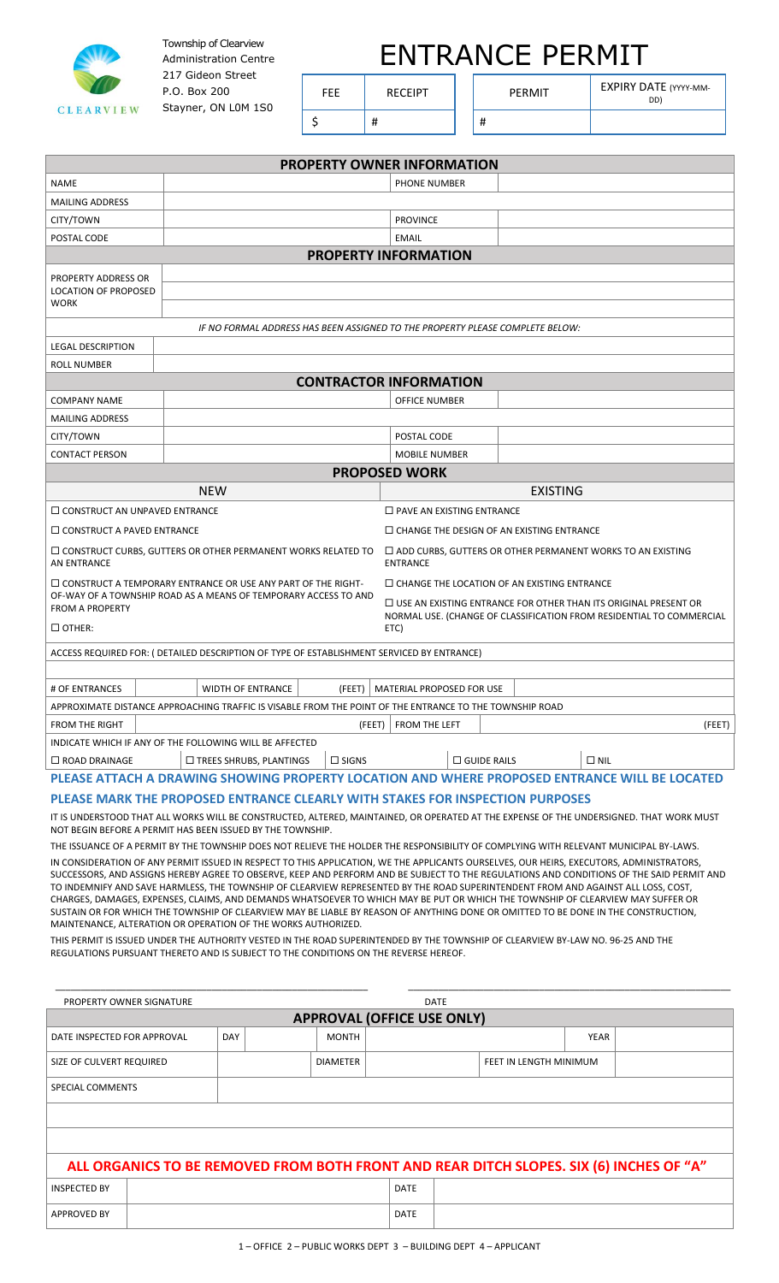

Township of Clearview Administration Centre 217 Gideon Street P.O. Box 200 Stayner, ON L0M 1S0

| <b>ENTRANCE PERMIT</b> |  |
|------------------------|--|
|------------------------|--|

\$ | # | | #

FEE RECEIPT PERMIT EXPIRY DATE (YYYY-MM-

|                                                                                                                                                                                                                                                                                       |                                                                                                         | <b>PROPERTY OWNER INFORMATION</b>                                                    |  |                                                                      |  |  |  |
|---------------------------------------------------------------------------------------------------------------------------------------------------------------------------------------------------------------------------------------------------------------------------------------|---------------------------------------------------------------------------------------------------------|--------------------------------------------------------------------------------------|--|----------------------------------------------------------------------|--|--|--|
| NAME                                                                                                                                                                                                                                                                                  |                                                                                                         | PHONE NUMBER                                                                         |  |                                                                      |  |  |  |
| <b>MAILING ADDRESS</b>                                                                                                                                                                                                                                                                |                                                                                                         |                                                                                      |  |                                                                      |  |  |  |
| CITY/TOWN                                                                                                                                                                                                                                                                             |                                                                                                         | <b>PROVINCE</b>                                                                      |  |                                                                      |  |  |  |
| POSTAL CODE                                                                                                                                                                                                                                                                           |                                                                                                         | <b>EMAIL</b>                                                                         |  |                                                                      |  |  |  |
|                                                                                                                                                                                                                                                                                       |                                                                                                         | <b>PROPERTY INFORMATION</b>                                                          |  |                                                                      |  |  |  |
| PROPERTY ADDRESS OR                                                                                                                                                                                                                                                                   |                                                                                                         |                                                                                      |  |                                                                      |  |  |  |
| <b>LOCATION OF PROPOSED</b>                                                                                                                                                                                                                                                           |                                                                                                         |                                                                                      |  |                                                                      |  |  |  |
| WORK                                                                                                                                                                                                                                                                                  |                                                                                                         |                                                                                      |  |                                                                      |  |  |  |
|                                                                                                                                                                                                                                                                                       | IF NO FORMAL ADDRESS HAS BEEN ASSIGNED TO THE PROPERTY PLEASE COMPLETE BELOW:                           |                                                                                      |  |                                                                      |  |  |  |
| <b>LEGAL DESCRIPTION</b>                                                                                                                                                                                                                                                              |                                                                                                         |                                                                                      |  |                                                                      |  |  |  |
| <b>ROLL NUMBER</b>                                                                                                                                                                                                                                                                    |                                                                                                         |                                                                                      |  |                                                                      |  |  |  |
|                                                                                                                                                                                                                                                                                       |                                                                                                         | <b>CONTRACTOR INFORMATION</b>                                                        |  |                                                                      |  |  |  |
| <b>COMPANY NAME</b>                                                                                                                                                                                                                                                                   |                                                                                                         | OFFICE NUMBER                                                                        |  |                                                                      |  |  |  |
| <b>MAILING ADDRESS</b>                                                                                                                                                                                                                                                                |                                                                                                         |                                                                                      |  |                                                                      |  |  |  |
| CITY/TOWN                                                                                                                                                                                                                                                                             |                                                                                                         | POSTAL CODE                                                                          |  |                                                                      |  |  |  |
| <b>CONTACT PERSON</b>                                                                                                                                                                                                                                                                 |                                                                                                         | <b>MOBILE NUMBER</b>                                                                 |  |                                                                      |  |  |  |
| <b>PROPOSED WORK</b>                                                                                                                                                                                                                                                                  |                                                                                                         |                                                                                      |  |                                                                      |  |  |  |
|                                                                                                                                                                                                                                                                                       | <b>NEW</b>                                                                                              | <b>EXISTING</b>                                                                      |  |                                                                      |  |  |  |
| $\Box$ CONSTRUCT AN UNPAVED ENTRANCE                                                                                                                                                                                                                                                  |                                                                                                         | $\Box$ PAVE AN EXISTING ENTRANCE                                                     |  |                                                                      |  |  |  |
| $\Box$ CONSTRUCT A PAVED ENTRANCE                                                                                                                                                                                                                                                     |                                                                                                         | $\Box$ CHANGE THE DESIGN OF AN EXISTING ENTRANCE                                     |  |                                                                      |  |  |  |
| $\Box$ CONSTRUCT CURBS, GUTTERS OR OTHER PERMANENT WORKS RELATED TO<br><b>AN ENTRANCE</b>                                                                                                                                                                                             |                                                                                                         | $\Box$ ADD CURBS, GUTTERS OR OTHER PERMANENT WORKS TO AN EXISTING<br><b>ENTRANCE</b> |  |                                                                      |  |  |  |
|                                                                                                                                                                                                                                                                                       | $\Box$ CONSTRUCT A TEMPORARY ENTRANCE OR USE ANY PART OF THE RIGHT-                                     | $\Box$ CHANGE THE LOCATION OF AN EXISTING ENTRANCE                                   |  |                                                                      |  |  |  |
| <b>FROM A PROPERTY</b>                                                                                                                                                                                                                                                                | OF-WAY OF A TOWNSHIP ROAD AS A MEANS OF TEMPORARY ACCESS TO AND                                         | $\Box$ USE AN EXISTING ENTRANCE FOR OTHER THAN ITS ORIGINAL PRESENT OR               |  |                                                                      |  |  |  |
|                                                                                                                                                                                                                                                                                       |                                                                                                         |                                                                                      |  | NORMAL USE. (CHANGE OF CLASSIFICATION FROM RESIDENTIAL TO COMMERCIAL |  |  |  |
| $\Box$ OTHER:                                                                                                                                                                                                                                                                         |                                                                                                         | ETC)                                                                                 |  |                                                                      |  |  |  |
|                                                                                                                                                                                                                                                                                       | ACCESS REQUIRED FOR: ( DETAILED DESCRIPTION OF TYPE OF ESTABLISHMENT SERVICED BY ENTRANCE)              |                                                                                      |  |                                                                      |  |  |  |
|                                                                                                                                                                                                                                                                                       |                                                                                                         |                                                                                      |  |                                                                      |  |  |  |
| # OF ENTRANCES                                                                                                                                                                                                                                                                        | <b>WIDTH OF ENTRANCE</b><br>(FEET)                                                                      | <b>MATERIAL PROPOSED FOR USE</b>                                                     |  |                                                                      |  |  |  |
|                                                                                                                                                                                                                                                                                       | APPROXIMATE DISTANCE APPROACHING TRAFFIC IS VISABLE FROM THE POINT OF THE ENTRANCE TO THE TOWNSHIP ROAD |                                                                                      |  |                                                                      |  |  |  |
| FROM THE RIGHT                                                                                                                                                                                                                                                                        |                                                                                                         | (FEET)   FROM THE LEFT                                                               |  | (FEET)                                                               |  |  |  |
|                                                                                                                                                                                                                                                                                       | INDICATE WHICH IF ANY OF THE FOLLOWING WILL BE AFFECTED                                                 |                                                                                      |  |                                                                      |  |  |  |
| $\Box$ ROAD DRAINAGE                                                                                                                                                                                                                                                                  | $\Box$ SIGNS<br>$\Box$ TREES SHRUBS, PLANTINGS                                                          | $\square$ GUIDE RAILS                                                                |  | $\square$ NIL                                                        |  |  |  |
|                                                                                                                                                                                                                                                                                       | PLEASE ATTACH A DRAWING SHOWING PROPERTY LOCATION AND WHERE PROPOSED ENTRANCE WILL BE LOCATED           |                                                                                      |  |                                                                      |  |  |  |
| PLEASE MARK THE PROPOSED ENTRANCE CLEARLY WITH STAKES FOR INSPECTION PURPOSES                                                                                                                                                                                                         |                                                                                                         |                                                                                      |  |                                                                      |  |  |  |
| IT IS UNDERSTOOD THAT ALL WORKS WILL BE CONSTRUCTED, ALTERED, MAINTAINED, OR OPERATED AT THE EXPENSE OF THE UNDERSIGNED. THAT WORK MUST<br>NOT BEGIN BEFORE A PERMIT HAS BEEN ISSUED BY THE TOWNSHIP.                                                                                 |                                                                                                         |                                                                                      |  |                                                                      |  |  |  |
| THE ISSUANCE OF A PERMIT BY THE TOWNSHIP DOES NOT RELIEVE THE HOLDER THE RESPONSIBILITY OF COMPLYING WITH RELEVANT MUNICIPAL BY-LAWS.                                                                                                                                                 |                                                                                                         |                                                                                      |  |                                                                      |  |  |  |
| IN CONSIDERATION OF ANY PERMIT ISSUED IN RESPECT TO THIS APPLICATION, WE THE APPLICANTS OURSELVES, OUR HEIRS, EXECUTORS, ADMINISTRATORS,<br>SUCCESSORS, AND ASSIGNS HEREBY AGREE TO OBSERVE, KEEP AND PERFORM AND BE SUBJECT TO THE REGULATIONS AND CONDITIONS OF THE SAID PERMIT AND |                                                                                                         |                                                                                      |  |                                                                      |  |  |  |
| TO INDEMNIFY AND SAVE HARMLESS, THE TOWNSHIP OF CLEARVIEW REPRESENTED BY THE ROAD SUPERINTENDENT FROM AND AGAINST ALL LOSS, COST,                                                                                                                                                     |                                                                                                         |                                                                                      |  |                                                                      |  |  |  |
| CHARGES, DAMAGES, EXPENSES, CLAIMS, AND DEMANDS WHATSOEVER TO WHICH MAY BE PUT OR WHICH THE TOWNSHIP OF CLEARVIEW MAY SUFFER OR<br>SUSTAIN OR FOR WHICH THE TOWNSHIP OF CLEARVIEW MAY BE LIABLE BY REASON OF ANYTHING DONE OR OMITTED TO BE DONE IN THE CONSTRUCTION,                 |                                                                                                         |                                                                                      |  |                                                                      |  |  |  |
|                                                                                                                                                                                                                                                                                       | MAINTENANCE, ALTERATION OR OPERATION OF THE WORKS AUTHORIZED.                                           |                                                                                      |  |                                                                      |  |  |  |
| THIS PERMIT IS ISSUED UNDER THE AUTHORITY VESTED IN THE ROAD SUPERINTENDED BY THE TOWNSHIP OF CLEARVIEW BY-LAW NO. 96-25 AND THE<br>REGULATIONS PURSUANT THERETO AND IS SUBJECT TO THE CONDITIONS ON THE REVERSE HEREOF.                                                              |                                                                                                         |                                                                                      |  |                                                                      |  |  |  |

| <b>DATE</b><br>PROPERTY OWNER SIGNATURE                                                 |  |     |  |                 |             |  |                        |             |  |
|-----------------------------------------------------------------------------------------|--|-----|--|-----------------|-------------|--|------------------------|-------------|--|
| <b>APPROVAL (OFFICE USE ONLY)</b>                                                       |  |     |  |                 |             |  |                        |             |  |
| DATE INSPECTED FOR APPROVAL                                                             |  | DAY |  | <b>MONTH</b>    |             |  |                        | <b>YEAR</b> |  |
| SIZE OF CULVERT REQUIRED                                                                |  |     |  | <b>DIAMETER</b> |             |  | FEET IN LENGTH MINIMUM |             |  |
| SPECIAL COMMENTS                                                                        |  |     |  |                 |             |  |                        |             |  |
|                                                                                         |  |     |  |                 |             |  |                        |             |  |
|                                                                                         |  |     |  |                 |             |  |                        |             |  |
| ALL ORGANICS TO BE REMOVED FROM BOTH FRONT AND REAR DITCH SLOPES. SIX (6) INCHES OF "A" |  |     |  |                 |             |  |                        |             |  |
| <b>INSPECTED BY</b>                                                                     |  |     |  |                 | <b>DATE</b> |  |                        |             |  |
| <b>APPROVED BY</b>                                                                      |  |     |  |                 | <b>DATE</b> |  |                        |             |  |

\_\_\_\_\_\_\_\_\_\_\_\_\_\_\_\_\_\_\_\_\_\_\_\_\_\_\_\_\_\_\_\_\_\_\_\_\_\_\_\_\_\_\_\_\_\_\_\_\_\_\_\_\_\_\_\_\_\_\_\_\_\_ \_\_\_\_\_\_\_\_\_\_\_\_\_\_\_\_\_\_\_\_\_\_\_\_\_\_\_\_\_\_\_\_\_\_\_\_\_\_\_\_\_\_\_\_\_\_\_\_\_\_\_\_\_\_\_\_\_\_\_\_\_\_\_\_